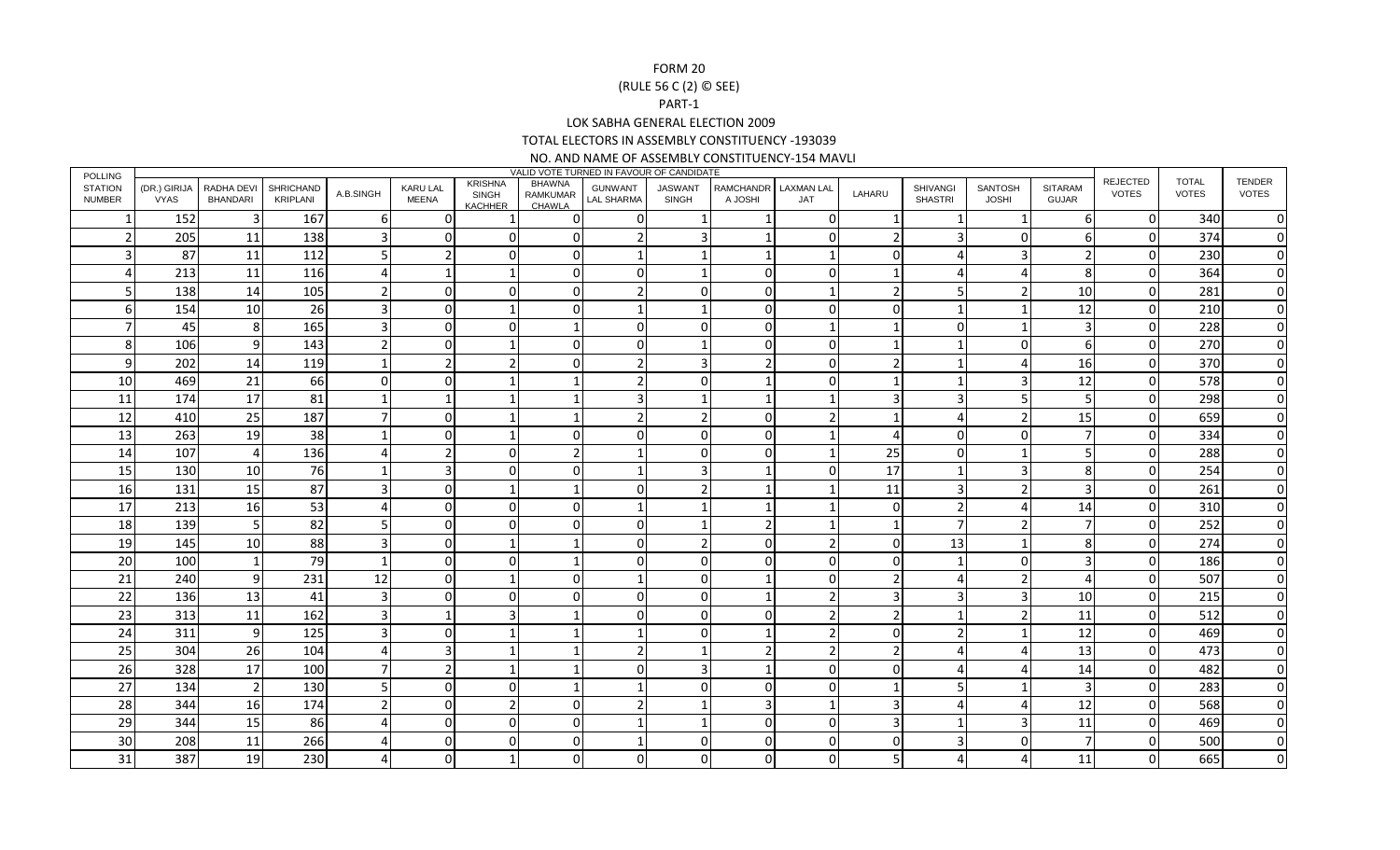## FORM 20

## (RULE 56 C (2) © SEE)

## PART-1

LOK SABHA GENERAL ELECTION 2009

TOTAL ELECTORS IN ASSEMBLY CONSTITUENCY -193039

## NO. AND NAME OF ASSEMBLY CONSTITUENCY-154 MAVLI

| <b>POLLING</b>                  | VALID VOTE TURNED IN FAVOUR OF CANDIDATE |                        |                       |           |                          |                                           |                              |                                     |                                |                                 |     |              |                            |                                |                                |                          |                              |                        |
|---------------------------------|------------------------------------------|------------------------|-----------------------|-----------|--------------------------|-------------------------------------------|------------------------------|-------------------------------------|--------------------------------|---------------------------------|-----|--------------|----------------------------|--------------------------------|--------------------------------|--------------------------|------------------------------|------------------------|
| <b>STATION</b><br><b>NUMBER</b> | (DR.) GIRIJA<br>VYAS                     | RADHA DEVI<br>BHANDARI | SHRICHAND<br>KRIPLANI | A.B.SINGH | <b>KARU LAL</b><br>MEENA | <b>KRISHNA</b><br>SINGH<br><b>KACHHER</b> | BHAWNA<br>RAMKUMAR<br>CHAWLA | <b>GUNWANT</b><br><b>LAL SHARMA</b> | <b>JASWANT</b><br><b>SINGH</b> | RAMCHANDR LAXMAN LAL<br>A JOSHI | JAT | LAHARU       | SHIVANGI<br><b>SHASTRI</b> | <b>SANTOSH</b><br><b>JOSHI</b> | <b>SITARAM</b><br><b>GUJAR</b> | <b>REJECTED</b><br>VOTES | <b>TOTAL</b><br><b>VOTES</b> | TENDER<br><b>VOTES</b> |
|                                 | 152                                      |                        | 167                   | b         | O                        |                                           |                              | 0                                   |                                |                                 |     |              |                            |                                | -6                             | $\mathbf 0$              | 340                          | 0                      |
|                                 | 205                                      | 11                     | 138                   |           |                          | $\Omega$                                  |                              | $\mathcal{P}$                       | ς                              |                                 |     |              |                            | $\Omega$                       | 6                              | $\mathbf 0$              | 374                          | 0                      |
|                                 | 87                                       | 11                     | 112                   |           |                          |                                           |                              |                                     |                                |                                 |     |              |                            | 3                              |                                | $\mathbf 0$              | 230                          | $\mathbf 0$            |
|                                 | 213                                      | 11                     | 116                   |           |                          |                                           |                              | $\Omega$                            |                                | U                               |     |              |                            |                                | 8                              | $\pmb{0}$                | 364                          | $\mathbf 0$            |
|                                 | 138                                      | 14                     | 105                   |           |                          |                                           |                              |                                     |                                | n                               |     |              |                            | ົາ                             | 10                             | $\mathbf 0$              | 281                          | $\mathbf 0$            |
| 6                               | 154                                      | 10                     | 26                    |           |                          |                                           |                              |                                     |                                | U                               |     |              |                            |                                | 12                             | $\mathbf 0$              | 210                          | $\mathbf 0$            |
|                                 | 45                                       | 8                      | 165                   |           |                          | $\Omega$                                  |                              | $\Omega$                            |                                | U                               |     |              |                            |                                | 3                              | $\mathbf 0$              | 228                          | 0                      |
| 8                               | 106                                      | 9                      | 143                   |           |                          |                                           |                              | 0                                   |                                | U                               |     |              |                            | $\Omega$                       | 6                              | $\mathbf 0$              | 270                          | 0                      |
| 9                               | 202                                      | 14                     | 119                   |           |                          |                                           |                              |                                     |                                |                                 |     |              |                            |                                | 16                             | $\mathbf 0$              | 370                          | 0                      |
| 10                              | 469                                      | 21                     | 66                    |           |                          |                                           |                              |                                     |                                |                                 |     |              |                            | ς                              | 12                             | $\mathbf 0$              | 578                          | $\mathbf 0$            |
| 11                              | 174                                      | 17                     | 81                    |           |                          |                                           |                              |                                     |                                |                                 |     |              |                            |                                | 5                              | $\pmb{0}$                | 298                          | $\pmb{0}$              |
| 12                              | 410                                      | 25                     | 187                   |           |                          |                                           |                              |                                     |                                | U                               |     |              |                            | $\mathcal{P}$                  | 15                             | $\mathbf 0$              | 659                          | $\mathbf 0$            |
| 13                              | 263                                      | 19                     | 38                    |           |                          |                                           |                              | <sup>0</sup>                        |                                |                                 |     |              |                            | $\Omega$                       |                                | $\mathbf 0$              | 334                          | 0                      |
| 14                              | 107                                      | $\overline{a}$         | 136                   |           |                          | $\Omega$                                  |                              |                                     |                                | U                               |     | 25           | ∩                          |                                |                                | $\mathbf 0$              | 288                          | 0                      |
| 15                              | 130                                      | 10                     | 76                    |           |                          | $\Omega$                                  |                              |                                     |                                |                                 |     | 17           |                            | з                              | 8                              | $\pmb{0}$                | 254                          | 0                      |
| <b>16</b>                       | 131                                      | 15                     | 87                    |           |                          |                                           |                              | $\Omega$                            |                                |                                 |     | 11           | ₹                          | $\mathcal{P}$                  | 3                              | $\mathbf 0$              | 261                          | $\Omega$               |
| 17                              | 213                                      | 16                     | 53                    |           |                          | n                                         |                              |                                     |                                |                                 |     | n            |                            |                                | 14                             | $\mathbf 0$              | 310                          | 0                      |
| 18                              | 139                                      | 5 <sub>l</sub>         | 82                    |           |                          |                                           |                              | 0                                   |                                |                                 |     |              |                            | っ                              |                                | $\mathbf 0$              | 252                          | 0                      |
| 19                              | 145                                      | 10                     | 88                    |           |                          |                                           |                              | $\Omega$                            |                                | n                               |     | <sup>0</sup> | 13                         |                                | 8                              | $\mathbf 0$              | 274                          | $\mathbf 0$            |
| 20                              | 100                                      | $\mathbf 1$            | 79                    |           |                          |                                           |                              | $\Omega$                            |                                | n                               |     |              | - 1                        | $\Omega$                       | 3                              | $\mathbf 0$              | 186                          | 0                      |
| 21                              | 240                                      | 9                      | 231                   | 12        |                          |                                           |                              |                                     |                                |                                 |     |              |                            | $\overline{\phantom{a}}$       | $\boldsymbol{\Lambda}$         | $\mathbf 0$              | 507                          | $\mathbf 0$            |
| 22                              | 136                                      | 13                     | 41                    |           |                          |                                           |                              | 0                                   |                                |                                 |     |              |                            | 3                              | 10                             | $\pmb{0}$                | 215                          | $\mathbf 0$            |
| 23                              | 313                                      | 11                     | 162                   |           |                          |                                           |                              | <sup>0</sup>                        |                                | n                               |     |              |                            | $\overline{\phantom{a}}$       | 11                             | $\mathbf 0$              | 512                          | $\mathbf 0$            |
| 24                              | 311                                      | 9                      | 125                   |           |                          |                                           |                              |                                     |                                |                                 |     |              |                            |                                | 12                             | $\mathbf 0$              | 469                          | 0                      |
| 25                              | 304                                      | 26                     | 104                   |           |                          |                                           |                              |                                     |                                |                                 |     |              |                            |                                | 13                             | $\pmb{0}$                | 473                          | 0                      |
| 26                              | 328                                      | 17                     | 100                   |           |                          |                                           |                              | $\Omega$                            |                                |                                 |     |              |                            |                                | 14                             | $\Omega$                 | 482                          | $\Omega$               |
| 27                              | 134                                      | $\overline{2}$         | 130                   |           |                          | n                                         |                              |                                     |                                | n                               |     |              |                            |                                | 3                              | $\mathbf 0$              | 283                          | $\mathbf 0$            |
| 28                              | 344                                      | 16                     | 174                   |           |                          |                                           |                              |                                     |                                |                                 |     |              |                            |                                | 12                             | $\mathbf 0$              | 568                          | 0                      |
| 29                              | 344                                      | 15                     | 86                    |           |                          |                                           |                              |                                     |                                | n                               |     |              |                            | 3                              | 11                             | $\pmb{0}$                | 469                          | 0                      |
| 30                              | 208                                      | 11                     | 266                   |           |                          |                                           |                              |                                     |                                |                                 |     |              |                            | $\cap$                         |                                | $\mathbf 0$              | 500                          | $\Omega$               |
| 31                              | 387                                      | 19                     | 230                   |           |                          |                                           |                              | <sup>0</sup>                        |                                |                                 |     |              |                            |                                | 11                             | $\Omega$                 | 665                          | 0                      |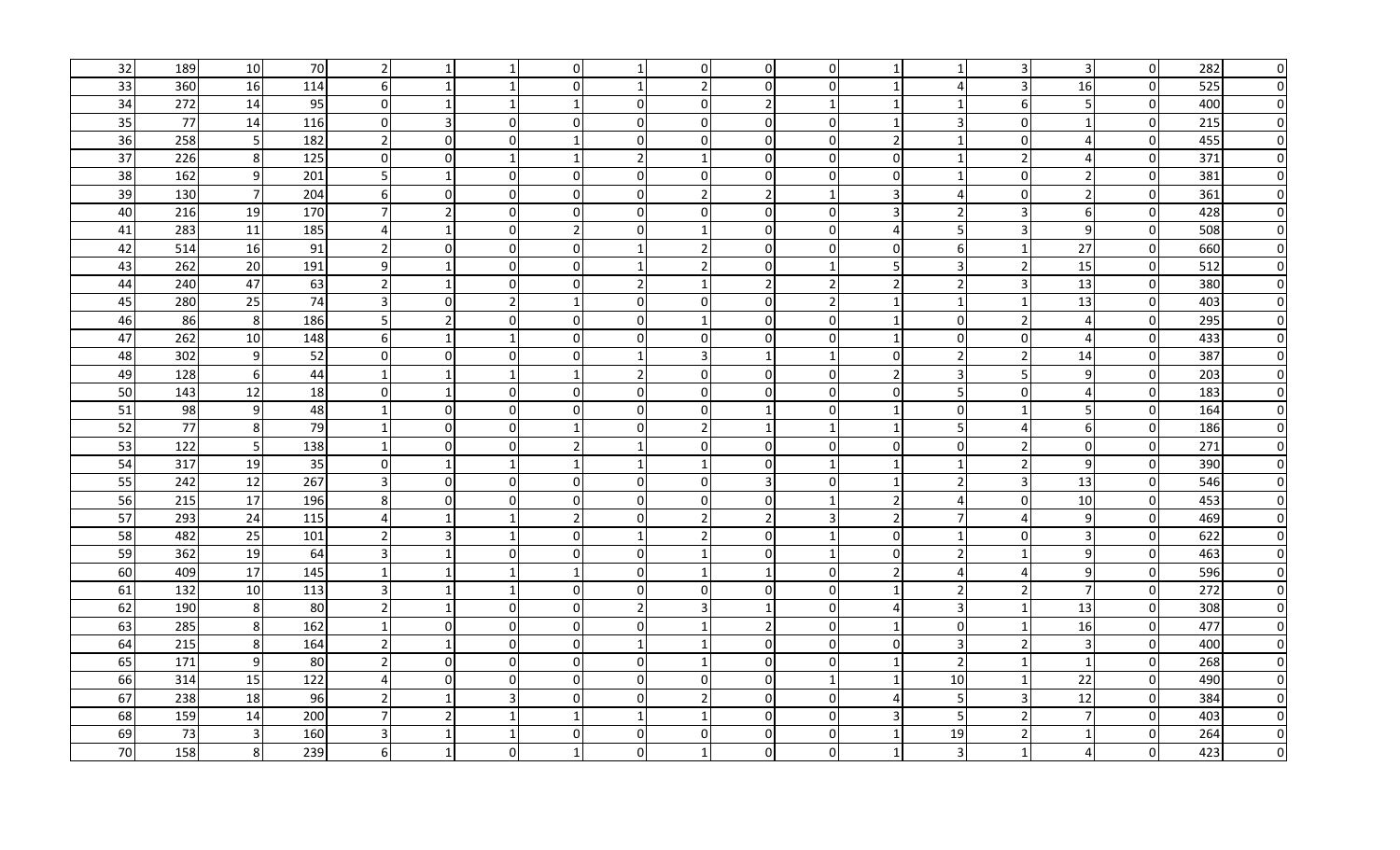| 32 | 189 | 10             | 70  | $\overline{2}$          |                |                | $\Omega$       |                | $\overline{0}$ | $\Omega$       | $\overline{0}$ |                | -1                      | 3                     | $\overline{3}$   | $\overline{0}$ | 282 | $\overline{0}$ |
|----|-----|----------------|-----|-------------------------|----------------|----------------|----------------|----------------|----------------|----------------|----------------|----------------|-------------------------|-----------------------|------------------|----------------|-----|----------------|
| 33 | 360 | 16             | 114 | 6                       |                | -1             | $\Omega$       | -1             | $\overline{2}$ | $\Omega$       | $\Omega$       | -1             | Δ                       | 3                     | 16               | $\Omega$       | 525 | $\overline{0}$ |
| 34 | 272 | 14             | 95  | $\overline{0}$          |                | $\mathbf{1}$   | $\mathbf{1}$   | $\Omega$       | $\overline{0}$ | $\mathfrak{p}$ |                |                | $\overline{\mathbf{1}}$ | 6                     | 5                | $\overline{0}$ | 400 | $\overline{0}$ |
| 35 | 77  | 14             | 116 | $\overline{0}$          |                | $\overline{0}$ | $\mathbf{0}$   | $\overline{0}$ | $\overline{0}$ | $\Omega$       | $\Omega$       |                | 3                       | 0                     | 1                | $\pmb{0}$      | 215 | $\overline{0}$ |
| 36 | 258 | 5              | 182 | $\overline{2}$          | $\Omega$       | $\Omega$       | 1              | $\Omega$       | $\Omega$       | $\Omega$       | $\Omega$       | $\overline{2}$ | $\overline{\mathbf{1}}$ | $\Omega$              | $\overline{4}$   | $\overline{0}$ | 455 | $\overline{0}$ |
| 37 | 226 | 8              | 125 | $\overline{0}$          | $\Omega$       | $\mathbf{1}$   | 1              | $\overline{2}$ | $\mathbf{1}$   | $\Omega$       | $\Omega$       | $\Omega$       | $\mathbf{1}$            | $\overline{2}$        | $\overline{4}$   | $\overline{0}$ | 371 | $\overline{0}$ |
| 38 | 162 | 9              | 201 | 5                       |                | 0              | $\overline{0}$ | $\overline{0}$ | $\overline{0}$ | $\Omega$       | $\overline{0}$ | $\mathbf{0}$   | -1                      | $\pmb{0}$             | $\overline{2}$   | $\overline{0}$ | 381 | $\overline{0}$ |
| 39 | 130 | $\overline{7}$ | 204 | $6 \mid$                | $\overline{0}$ | $\overline{0}$ | 0l             | $\overline{0}$ | $\overline{2}$ | $\overline{2}$ |                |                | Δ                       | $\mathbf 0$           | $\overline{2}$   | $\overline{0}$ | 361 | $\overline{0}$ |
| 40 | 216 | 19             | 170 | 7                       |                | $\overline{0}$ | $\overline{0}$ | $\overline{0}$ | 0              | $\Omega$       | $\overline{0}$ |                | 2                       | 3                     | 6                | $\overline{0}$ | 428 | $\overline{0}$ |
| 41 | 283 | 11             | 185 | $\overline{4}$          |                | $\overline{0}$ | $\overline{2}$ | $\overline{0}$ | $\mathbf{1}$   | 01             | $\overline{0}$ | 4              | -5                      | 3                     | $\boldsymbol{9}$ | $\overline{0}$ | 508 | $\overline{0}$ |
| 42 | 514 | 16             | 91  | $\overline{2}$          | $\Omega$       | $\overline{0}$ | $\overline{0}$ |                | $\overline{2}$ | 0              | $\overline{0}$ | $\Omega$       | 6                       | $\mathbf 1$           | 27               | $\overline{0}$ | 660 | $\overline{0}$ |
| 43 | 262 | 20             | 191 | 9                       |                | 0              | $\overline{0}$ | -1             | $\overline{2}$ | $\Omega$       | $\mathbf{1}$   |                | $\overline{3}$          | $\overline{2}$        | 15               | $\overline{0}$ | 512 | $\overline{0}$ |
| 44 | 240 | 47             | 63  | $\overline{2}$          |                | $\overline{0}$ | $\Omega$       | $\overline{2}$ | $\mathbf{1}$   | $\overline{2}$ | $\overline{2}$ | $\overline{2}$ | $\overline{2}$          | $\overline{3}$        | 13               | $\overline{0}$ | 380 | $\overline{0}$ |
| 45 | 280 | 25             | 74  | $\overline{3}$          | $\overline{0}$ | $\overline{2}$ | 1              | $\overline{0}$ | $\overline{0}$ | $\Omega$       | $\overline{2}$ | -1             | $\overline{1}$          | $\mathbf{1}$          | 13               | $\overline{0}$ | 403 | $\overline{0}$ |
| 46 | 86  | 8              | 186 | 5                       | $\overline{2}$ | $\overline{0}$ | $\mathbf{0}$   | $\overline{0}$ | $\mathbf{1}$   | $\Omega$       | $\Omega$       | -1             | $\Omega$                | $\overline{2}$        | $\overline{4}$   | $\mathbf 0$    | 295 | $\overline{0}$ |
| 47 | 262 | 10             | 148 | $6 \mid$                |                | $\mathbf{1}$   | $\Omega$       | $\Omega$       | $\Omega$       | $\Omega$       | $\Omega$       |                | $\Omega$                | $\mathbf 0$           | $\overline{4}$   | $\overline{0}$ | 433 | $\overline{0}$ |
| 48 | 302 | $9$            | 52  | $\overline{0}$          | $\Omega$       | 01             | $\Omega$       | $\mathbf{1}$   | $\overline{3}$ | 1              | $\mathbf{1}$   | $\mathbf{0}$   | $\overline{2}$          | $\overline{2}$        | 14               | $\overline{0}$ | 387 | $\overline{0}$ |
| 49 | 128 | 6              | 44  | $\vert$ 1               |                | $\mathbf{1}$   | 1              | $\overline{2}$ | $\overline{0}$ | $\Omega$       | $\overline{0}$ | $\overline{2}$ | 3                       | -5                    | 9                | $\overline{0}$ | 203 | $\overline{0}$ |
| 50 | 143 | 12             | 18  | $\overline{0}$          |                | 01             | $\Omega$       | $\overline{0}$ | $\overline{0}$ | ŋ              | $\Omega$       | $\Omega$       | .5                      | $\mathbf 0$           | $\overline{4}$   | $\overline{0}$ | 183 | $\overline{0}$ |
| 51 | 98  | $\overline{9}$ | 48  | $\vert$ 1               | 0l             | $\overline{0}$ | $\Omega$       | $\overline{0}$ | $\overline{0}$ |                | $\Omega$       |                | $\Omega$                |                       | 5                | $\mathbf 0$    | 164 | $\overline{0}$ |
| 52 | 77  | $\,8\,$        | 79  | $\vert$ 1               | $\Omega$       | $\overline{0}$ | -1             | $\overline{0}$ | $\overline{2}$ |                |                |                | -5                      | 4                     | 6                | $\overline{0}$ | 186 | $\overline{0}$ |
| 53 | 122 | 5              | 138 | $\vert$ 1               | $\Omega$       | $\overline{0}$ | $\overline{2}$ |                | $\overline{0}$ | $\Omega$       | $\overline{0}$ | $\Omega$       | $\Omega$                | $\mathcal{P}$         | $\mathbf 0$      | $\overline{0}$ | 271 | $\overline{0}$ |
| 54 | 317 | 19             | 35  | $\overline{0}$          |                | $\overline{1}$ | 1              | $\mathbf{1}$   | $\mathbf{1}$   | $\Omega$       | $\mathbf{1}$   | -1             | $\overline{1}$          | $\overline{2}$        | $\overline{9}$   | $\overline{0}$ | 390 | $\overline{0}$ |
| 55 | 242 | 12             | 267 | 3                       | $\Omega$       | $\overline{0}$ | $\Omega$       | $\Omega$       | $\overline{0}$ | $\overline{3}$ | $\Omega$       | -1             | $\overline{2}$          | $\overline{3}$        | 13               | $\overline{0}$ | 546 | $\overline{0}$ |
| 56 | 215 | 17             | 196 | 8                       | $\Omega$       | $\overline{0}$ | $\Omega$       | $\Omega$       | $\overline{0}$ | $\Omega$       |                | $\overline{2}$ | $\boldsymbol{\Delta}$   | $\Omega$              | 10               | $\overline{0}$ | 453 | $\overline{0}$ |
| 57 | 293 | 24             | 115 | $\boldsymbol{\Delta}$   |                | $\mathbf{1}$   | $\overline{2}$ | $\Omega$       | $\overline{2}$ | $\overline{2}$ | $\mathbf{a}$   | $\overline{2}$ | 7                       | $\boldsymbol{\Delta}$ | 9                | $\Omega$       | 469 | $\overline{0}$ |
| 58 | 482 | 25             | 101 | $\overline{2}$          | ς              | $\mathbf{1}$   | $\Omega$       | $\overline{1}$ | $\overline{2}$ | $\Omega$       |                | $\Omega$       | $\overline{1}$          | $\Omega$              | $\overline{3}$   | $\overline{0}$ | 622 | $\overline{0}$ |
| 59 | 362 | 19             | 64  | $\overline{\mathbf{3}}$ |                | $\overline{0}$ | $\Omega$       | $\Omega$       | $\mathbf{1}$   | $\Omega$       | -1             | $\Omega$       | $\overline{2}$          | $\mathbf{1}$          | 9                | $\overline{0}$ | 463 | $\overline{0}$ |
| 60 | 409 | 17             | 145 | $\vert$ 1               |                | -1             | $\mathbf{1}$   | $\Omega$       | 1              |                | $\Omega$       | $\overline{2}$ | Δ                       | 4                     | $\boldsymbol{9}$ | $\pmb{0}$      | 596 | $\overline{0}$ |
| 61 | 132 | 10             | 113 | 3                       |                | $\mathbf{1}$   | $\Omega$       | $\Omega$       | $\overline{0}$ | $\Omega$       | $\Omega$       |                | $\overline{2}$          | $\overline{2}$        | $\overline{7}$   | $\overline{0}$ | 272 | $\overline{0}$ |
| 62 | 190 | 8              | 80  | $\overline{2}$          |                | $\overline{0}$ | 0              | $\overline{2}$ | 3 <sup>l</sup> |                | $\overline{0}$ | 4              | 3                       | $\mathbf 1$           | 13               | $\overline{0}$ | 308 | $\overline{0}$ |
| 63 | 285 | $\,8\,$        | 162 | $\vert$ 1               | 0l             | $\overline{0}$ | $\overline{0}$ | $\overline{0}$ |                | 2              | $\overline{0}$ |                | $\Omega$                | -1                    | 16               | $\pmb{0}$      | 477 | $\overline{0}$ |
| 64 | 215 | 8              | 164 | $\overline{2}$          |                | $\overline{0}$ | $\Omega$       |                |                | 0              | $\overline{0}$ | $\mathbf{0}$   | 3                       | $\overline{2}$        | $\overline{3}$   | $\overline{0}$ | 400 | $\overline{0}$ |
| 65 | 171 | 9              | 80  | $\overline{2}$          | 0l             | $\overline{0}$ | $\Omega$       | $\overline{0}$ | 1              | ΩI             | $\overline{0}$ | -1             | 2                       | -1                    | 1                | $\overline{0}$ | 268 | $\overline{0}$ |
| 66 | 314 | 15             | 122 | $\overline{4}$          | $\Omega$       | $\overline{0}$ | .OI            | $\overline{0}$ | $\overline{0}$ | n              |                |                | 10                      | $\mathbf{1}$          | 22               | $\overline{0}$ | 490 | $\overline{0}$ |
| 67 | 238 | 18             | 96  | $\mathbf{2}$            |                | $\overline{3}$ | $\overline{0}$ | $\overline{0}$ | $\overline{2}$ | U              | $\overline{0}$ | $\overline{4}$ | 5                       | 3                     | 12               | $\mathbf 0$    | 384 | $\overline{0}$ |
| 68 | 159 | 14             | 200 | $\overline{7}$          | $\mathcal{P}$  | $\mathbf{1}$   | 1              | $\mathbf{1}$   | $\mathbf{1}$   | $\Omega$       | $\overline{0}$ |                | -5                      | $\overline{2}$        | $\overline{7}$   | $\mathbf 0$    | 403 | $\overline{0}$ |
| 69 | 73  | 3              | 160 | $\overline{3}$          |                |                | $\Omega$       | $\overline{0}$ | $\Omega$       | $\Omega$       | $\Omega$       |                | 19                      | $\overline{2}$        | 1                | $\overline{0}$ | 264 | $\overline{0}$ |
| 70 | 158 | 8              | 239 | $6 \mid$                |                | $\overline{0}$ | -1             | $\overline{0}$ |                | $\Omega$       | $\overline{0}$ |                | $\overline{3}$          | $\mathbf{1}$          | $\overline{4}$   | $\mathbf{0}$   | 423 | $\overline{0}$ |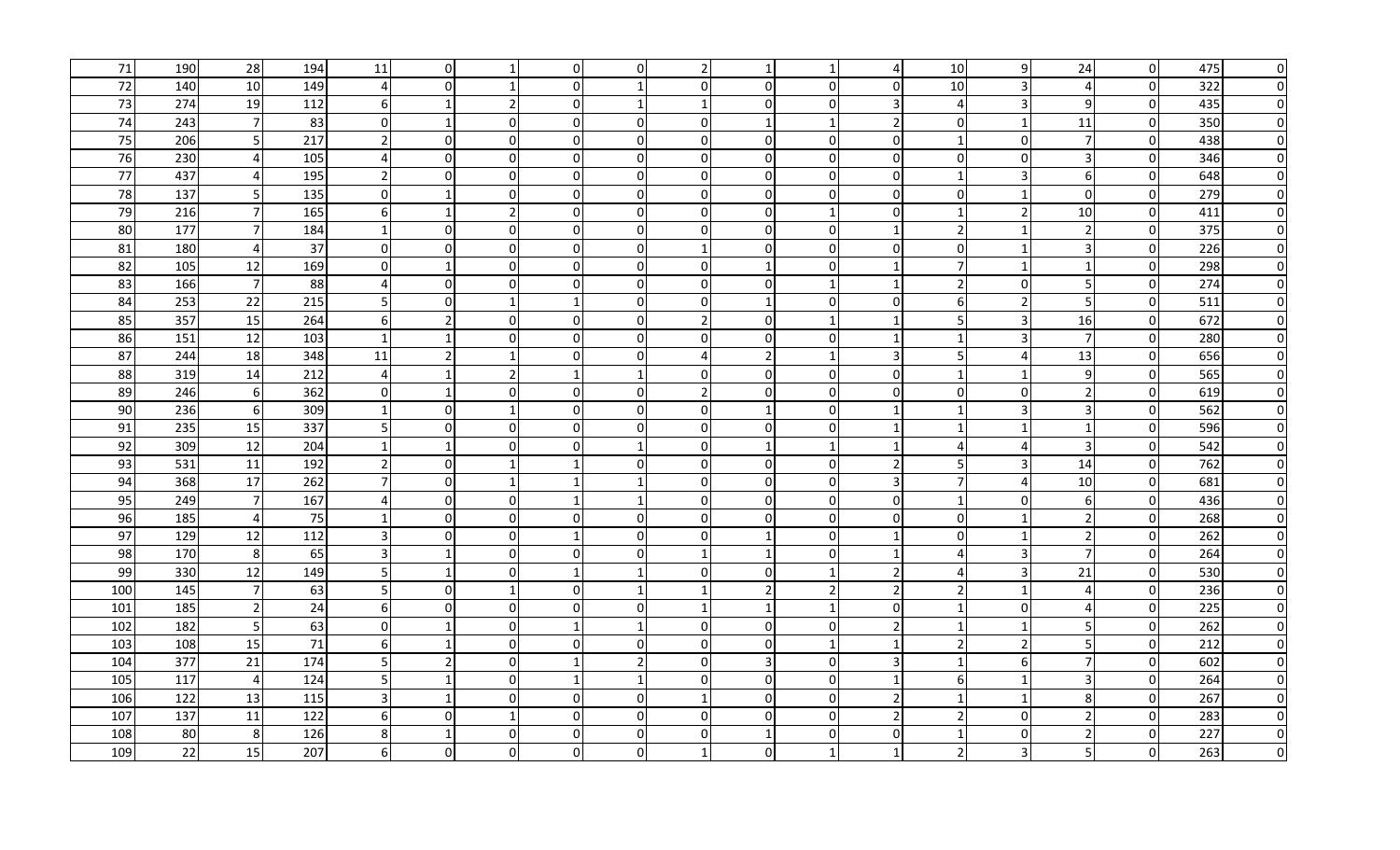| 71  | 190 | 28                    | 194 | 11               | $\Omega$       | -1             | $\overline{0}$ | $\overline{0}$ | $\overline{2}$ |                |              |              | 10                          | 9                     | 24               | $\overline{0}$ | 475 | $\overline{0}$ |
|-----|-----|-----------------------|-----|------------------|----------------|----------------|----------------|----------------|----------------|----------------|--------------|--------------|-----------------------------|-----------------------|------------------|----------------|-----|----------------|
| 72  | 140 | 10                    | 149 | $\overline{4}$   | $\Omega$       | 1              | $\Omega$       | $\mathbf{1}$   | $\overline{0}$ | $\Omega$       | $\Omega$     | $\Omega$     | 10                          | 3                     | 4                | $\overline{0}$ | 322 | $\overline{0}$ |
| 73  | 274 | 19                    | 112 | $6 \mid$         |                | 2 <sub>l</sub> | $\overline{0}$ | $\mathbf{1}$   | $\mathbf{1}$   | $\Omega$       | $\Omega$     |              | $\boldsymbol{\vartriangle}$ | $\overline{3}$        | $\overline{9}$   | $\overline{0}$ | 435 | $\overline{0}$ |
| 74  | 243 | $\overline{7}$        | 83  | $\overline{0}$   |                | $\overline{0}$ | $\Omega$       | $\mathbf{0}$   | $\overline{0}$ |                |              |              | $\Omega$                    | $\mathbf{1}$          | 11               | $\overline{0}$ | 350 | $\overline{0}$ |
| 75  | 206 | 5                     | 217 | $\overline{2}$   | $\Omega$       | 01             | $\mathbf{0}$   | $\mathbf{0}$   | $\overline{0}$ | $\Omega$       | $\Omega$     | $\Omega$     | $\overline{1}$              | $\Omega$              | $\overline{7}$   | $\overline{0}$ | 438 | $\overline{0}$ |
| 76  | 230 | $\boldsymbol{\Delta}$ | 105 | $\overline{4}$   | $\Omega$       | $\overline{0}$ | $\mathbf{0}$   | $\overline{0}$ | $\overline{0}$ | 0              | 0            | $\Omega$     | $\Omega$                    | $\mathbf 0$           | $\overline{3}$   | $\overline{0}$ | 346 | $\overline{0}$ |
| 77  | 437 | $\overline{4}$        | 195 | $\overline{2}$   | $\Omega$       | $\overline{0}$ | $\mathbf{0}$   | $\Omega$       | $\overline{0}$ | ΩI             | $\Omega$     | $\Omega$     |                             | 3                     | 6                | $\overline{0}$ | 648 | $\overline{0}$ |
| 78  | 137 | 5                     | 135 | $\mathbf{0}$     |                | 01             | $\overline{0}$ | $\Omega$       | 0              | 0              |              | $\Omega$     | $\Omega$                    | $\mathbf{1}$          | $\overline{0}$   | $\overline{0}$ | 279 | $\overline{0}$ |
| 79  | 216 | $\overline{7}$        | 165 | $6 \mid$         |                | $\overline{2}$ | 0              | $\overline{0}$ | $\overline{0}$ | 0              |              | <sup>0</sup> |                             | 2                     | 10               | $\overline{0}$ | 411 | $\Omega$       |
| 80  | 177 | $\overline{7}$        | 184 | $\vert$ 1        | $\Omega$       | $\overline{0}$ | $\mathbf 0$    | $\Omega$       | $\overline{0}$ | 0              | $\Omega$     |              | $\mathcal{P}$               | $\mathbf{1}$          | $\overline{2}$   | $\overline{0}$ | 375 | $\overline{0}$ |
| 81  | 180 | $\overline{4}$        | 37  | $\overline{0}$   | $\Omega$       | $\overline{0}$ | $\mathbf{0}$   | $\Omega$       |                | ΩI             | <sup>0</sup> | $\Omega$     | $\Omega$                    | $\mathbf{1}$          | 3                | $\overline{0}$ | 226 | $\overline{0}$ |
| 82  | 105 | 12                    | 169 | $\overline{0}$   |                | $\overline{0}$ | $\overline{0}$ | $\Omega$       | $\overline{0}$ |                | $\Omega$     |              | $\overline{7}$              | $\mathbf{1}$          | 1                | $\overline{0}$ | 298 | $\overline{0}$ |
| 83  | 166 | $\overline{7}$        | 88  | $\overline{4}$   | $\Omega$       | 0              | $\Omega$       | $\Omega$       | $\overline{0}$ | 01             |              |              | $\overline{2}$              | $\Omega$              | 5                | $\overline{0}$ | 274 | $\overline{0}$ |
| 84  | 253 | 22                    | 215 | 5                | $\Omega$       | 1              | $\mathbf{1}$   | $\overline{0}$ | $\overline{0}$ |                | $\Omega$     | $\Omega$     | 6                           | $\overline{2}$        | 5                | $\overline{0}$ | 511 | $\overline{0}$ |
| 85  | 357 | 15                    | 264 | 6                |                | $\overline{0}$ | $\Omega$       | $\Omega$       | $\overline{2}$ | $\Omega$       |              |              | 5                           | $\mathbf{3}$          | 16               | $\overline{0}$ | 672 | $\overline{0}$ |
| 86  | 151 | 12                    | 103 | $\vert$ 1        |                | $\Omega$       | $\Omega$       | $\Omega$       | $\overline{0}$ | $\Omega$       | $\Omega$     |              | -1                          | $\overline{3}$        | $\overline{7}$   | $\overline{0}$ | 280 | $\overline{0}$ |
| 87  | 244 | 18                    | 348 | 11               | $\overline{2}$ | -1             | $\Omega$       | $\Omega$       | $\overline{4}$ | $\overline{2}$ |              | 3            | 5                           | 4                     | 13               | $\overline{0}$ | 656 | $\overline{0}$ |
| 88  | 319 | 14                    | 212 | $\overline{4}$   |                | $\overline{2}$ | $\mathbf{1}$   | $\mathbf{1}$   | $\overline{0}$ | 01             | $\Omega$     | 0            | -1                          | 1                     | $\overline{9}$   | $\overline{0}$ | 565 | $\overline{0}$ |
| 89  | 246 | 6                     | 362 | $\overline{0}$   |                | $\overline{0}$ | $\overline{0}$ | $\Omega$       | $\overline{2}$ | 0              | $\Omega$     | <sup>O</sup> | $\Omega$                    | $\Omega$              | $\overline{2}$   | $\overline{0}$ | 619 | $\overline{0}$ |
| 90  | 236 | 6                     | 309 | $\vert$ 1        | $\overline{0}$ | 1              | $\overline{0}$ | $\overline{0}$ | $\overline{0}$ |                | <sup>0</sup> |              |                             | 3                     | $\overline{3}$   | $\overline{0}$ | 562 | $\overline{0}$ |
| 91  | 235 | 15                    | 337 | 5                | $\overline{0}$ | $\overline{0}$ | $\mathbf 0$    | $\overline{0}$ | $\overline{0}$ | 0              | $\Omega$     |              | -1                          | $\mathbf{1}$          | $\mathbf{1}$     | $\overline{0}$ | 596 | $\overline{0}$ |
| 92  | 309 | 12                    | 204 | $\vert$ 1        |                | $\overline{0}$ | $\mathbf 0$    |                | $\overline{0}$ |                |              |              | 4                           | $\boldsymbol{\Delta}$ | $\overline{3}$   | $\overline{0}$ | 542 | $\overline{0}$ |
| 93  | 531 | 11                    | 192 | $\overline{2}$   | $\overline{0}$ | $\mathbf{1}$   | 1              | $\overline{0}$ | $\overline{0}$ | ΩI             | $\Omega$     | 2            | 5                           | 3                     | 14               | $\overline{0}$ | 762 | $\overline{0}$ |
| 94  | 368 | 17                    | 262 | $\overline{7}$   | $\overline{0}$ | $\mathbf{1}$   |                |                | $\overline{0}$ | 0              | <sup>0</sup> |              | $\overline{7}$              | $\Delta$              | 10               | $\overline{0}$ | 681 | $\overline{0}$ |
| 95  | 249 | $\overline{7}$        | 167 | $\overline{4}$   | $\overline{0}$ | $\overline{0}$ | $\overline{1}$ |                | $\overline{0}$ | 0              | $\Omega$     | 0            |                             | 0                     | $6 \overline{6}$ | $\overline{0}$ | 436 | $\overline{0}$ |
| 96  | 185 | $\overline{4}$        | 75  | $\vert$ 1        | $\Omega$       | $\overline{0}$ | 0              | $\mathbf 0$    | $\overline{0}$ | $\Omega$       | $\Omega$     | $\Omega$     | 0                           | 1                     | $\overline{2}$   | $\overline{0}$ | 268 | $\overline{0}$ |
| 97  | 129 | 12                    | 112 | $\overline{3}$   | $\Omega$       | 01             | $\mathbf{1}$   | $\Omega$       | $\overline{0}$ |                | $\Omega$     |              | $\Omega$                    | $\mathbf{1}$          | $\overline{2}$   | $\overline{0}$ | 262 | $\overline{0}$ |
| 98  | 170 | 8                     | 65  | $\overline{3}$   |                | 0              | $\mathbf 0$    | $\overline{0}$ | 1              |                | $\Omega$     |              | $\Delta$                    | $\overline{3}$        | $\overline{7}$   | $\overline{0}$ | 264 | $\overline{0}$ |
| 99  | 330 | 12                    | 149 | 5                |                | $\overline{0}$ | -1             | 1              | $\overline{0}$ | 0              |              |              | Δ                           | 3                     | 21               | $\overline{0}$ | 530 | $\overline{0}$ |
| 100 | 145 | $\overline{7}$        | 63  | 5                | $\overline{0}$ | 1              | 0              |                |                |                |              |              |                             | $\mathbf 1$           | 4                | $\overline{0}$ | 236 | $\overline{0}$ |
| 101 | 185 | $\overline{2}$        | 24  | 6                | $\Omega$       | $\overline{0}$ | 0              | $\overline{0}$ | 1              |                |              | 0            |                             | 0                     | 4                | $\overline{0}$ | 225 | $\overline{0}$ |
| 102 | 182 | 5                     | 63  | $\mathbf{0}$     |                | $\overline{0}$ |                |                | $\overline{0}$ | 0              | 0            |              |                             | $\mathbf{1}$          | 5                | $\overline{0}$ | 262 | $\overline{0}$ |
| 103 | 108 | 15                    | 71  | $6 \overline{6}$ |                | $\overline{0}$ | .OI            | $\overline{0}$ | $\overline{0}$ | $\Omega$       |              |              | $\overline{\phantom{a}}$    | 2                     | 5 <sub>l</sub>   | $\overline{0}$ | 212 | $\overline{0}$ |
| 104 | 377 | 21                    | 174 | 5 <sub>l</sub>   |                | $\overline{0}$ | -1             | 2              | $\overline{0}$ | 3              | $\Omega$     | 3            |                             | 6                     | $\overline{7}$   | $\overline{0}$ | 602 | 0I             |
| 105 | 117 | $\overline{4}$        | 124 | 5 <sup>1</sup>   |                | $\overline{0}$ |                |                | $\overline{0}$ | 0              | $\Omega$     |              | 6                           | $\mathbf 1$           | 3                | $\overline{0}$ | 264 | 0I             |
| 106 | 122 | 13                    | 115 | $\overline{3}$   |                | $\overline{0}$ | $\overline{0}$ | $\overline{0}$ | 1              | 0              | 0            |              |                             | $\mathbf{1}$          | 8 <sup>°</sup>   | $\overline{0}$ | 267 | $\overline{0}$ |
| 107 | 137 | 11                    | 122 | 6                | $\Omega$       | 1              | $\mathbf{0}$   | $\Omega$       | $\overline{0}$ | $\Omega$       | 0            |              | $\overline{2}$              | 0                     | $\overline{2}$   | $\overline{0}$ | 283 | 0I             |
| 108 | 80  | 8                     | 126 | 8                |                | 01             | $\mathbf{0}$   | $\Omega$       | $\overline{0}$ |                | <sup>n</sup> | $\Omega$     |                             | $\Omega$              | $\overline{2}$   | $\overline{0}$ | 227 | 0I             |
| 109 | 22  | 15                    | 207 | 6 <sup>1</sup>   | $\Omega$       | $\overline{0}$ | $\mathbf{0}$   | $\mathbf 0$    |                | <sup>0</sup>   |              |              | $\overline{2}$              | 3                     | 5                | $\overline{0}$ | 263 | $\overline{0}$ |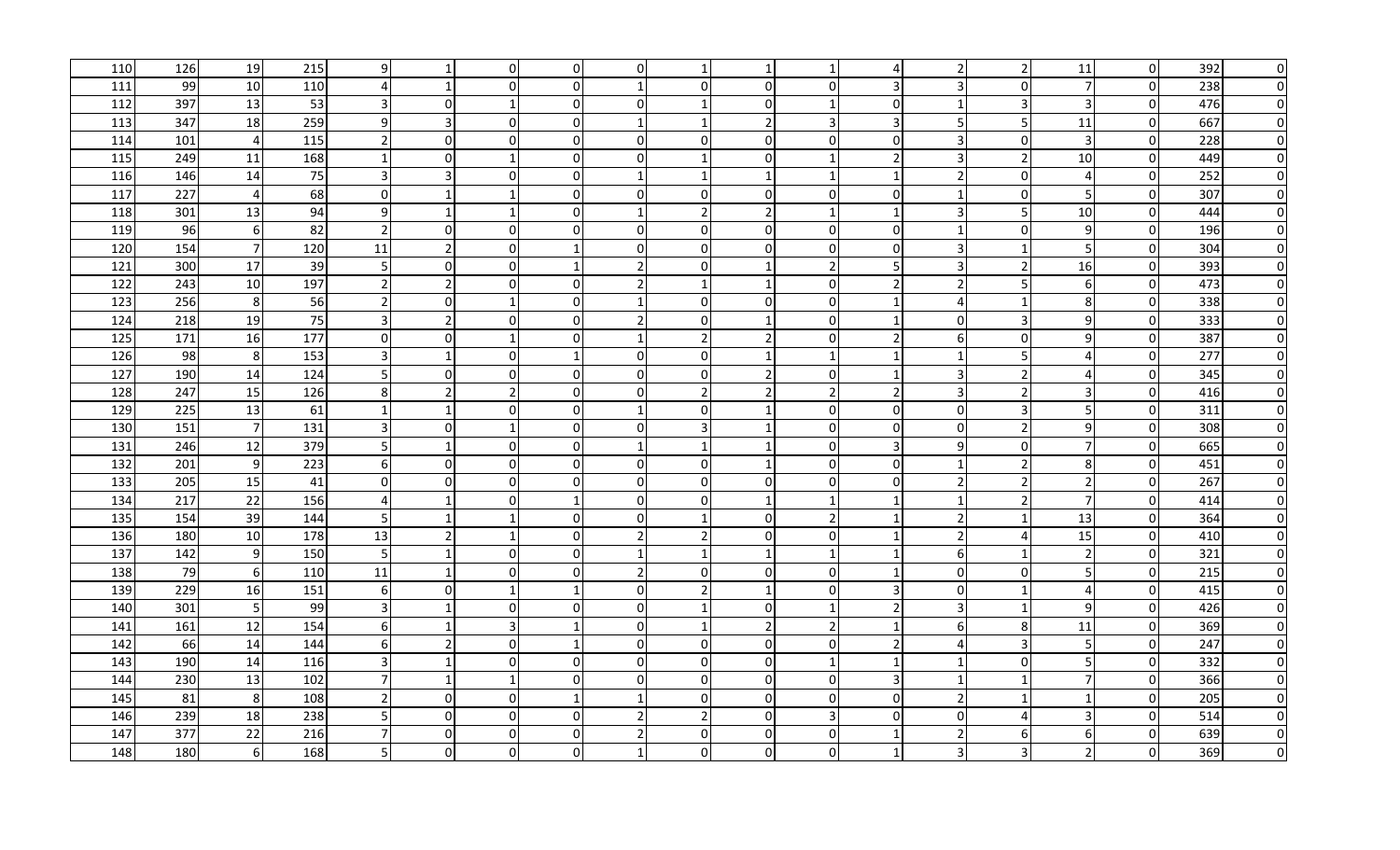| 110 | 126 | 19               | 215 | 9                       |                | $\overline{0}$ | $\overline{0}$ | $\overline{0}$ | 1              |                |              |               | $\overline{2}$           | 2                        | 11               | $\overline{0}$   | 392 | $\overline{0}$ |
|-----|-----|------------------|-----|-------------------------|----------------|----------------|----------------|----------------|----------------|----------------|--------------|---------------|--------------------------|--------------------------|------------------|------------------|-----|----------------|
| 111 | 99  | 10               | 110 |                         |                | $\overline{0}$ | $\Omega$       | $\mathbf{1}$   | $\overline{0}$ | $\Omega$       | $\Omega$     |               | 3                        | $\Omega$                 | $\overline{7}$   | $\overline{0}$   | 238 | $\overline{0}$ |
| 112 | 397 | 13               | 53  | $\overline{3}$          | $\Omega$       | $\mathbf{1}$   | $\overline{0}$ | $\mathbf{0}$   |                | 0              |              | $\Omega$      |                          | 3                        | 3                | $\overline{0}$   | 476 | $\overline{0}$ |
| 113 | 347 | 18               | 259 | $\overline{9}$          |                | $\overline{0}$ | $\overline{0}$ |                | 1              | $\overline{2}$ |              |               | 5                        | 5                        | 11               | $\boldsymbol{0}$ | 667 | $\overline{0}$ |
| 114 | 101 | $\overline{4}$   | 115 | $\overline{2}$          | $\Omega$       | $\Omega$       | $\Omega$       | $\Omega$       | $\mathbf 0$    | $\Omega$       | $\Omega$     | $\Omega$      | 3                        | $\boldsymbol{0}$         | $\overline{3}$   | $\overline{0}$   | 228 | $\overline{0}$ |
| 115 | 249 | 11               | 168 | $\vert$ 1               | $\Omega$       | -1             | $\Omega$       | $\mathbf{0}$   | $\mathbf{1}$   | $\Omega$       |              | $\mathcal{P}$ | $\overline{3}$           | 2                        | 10               | $\overline{0}$   | 449 | $\overline{0}$ |
| 116 | 146 | 14               | 75  | $\overline{\mathbf{3}}$ | 3              | $\overline{0}$ | $\overline{0}$ | $\mathbf{1}$   | 1              |                | -1           | -1            | $\overline{2}$           | $\boldsymbol{0}$         | 4                | $\overline{0}$   | 252 | $\overline{0}$ |
| 117 | 227 | 4                | 68  | $\overline{0}$          |                | 1              | $\overline{0}$ | $\overline{0}$ | $\overline{0}$ | 01             | $\Omega$     | $\Omega$      |                          | $\mathbf 0$              | 5                | $\overline{0}$   | 307 | $\overline{0}$ |
| 118 | 301 | 13               | 94  | 9                       |                | 1              | $\overline{0}$ |                | $\overline{2}$ |                |              |               | 3                        | 5                        | 10               | $\overline{0}$   | 444 | $\overline{0}$ |
| 119 | 96  | 6                | 82  | $\overline{2}$          | $\overline{0}$ | $\overline{0}$ | 0              | $\overline{0}$ | $\overline{0}$ | 01             | $\Omega$     | 0             | -1                       | 0                        | 9                | $\overline{0}$   | 196 | $\overline{0}$ |
| 120 | 154 | $\overline{7}$   | 120 | 11                      |                | $\overline{0}$ |                | $\overline{0}$ | $\overline{0}$ | 0              | $\Omega$     | $\Omega$      | 3                        | $\mathbf{1}$             | 5                | $\overline{0}$   | 304 | $\overline{0}$ |
| 121 | 300 | 17               | 39  | 5                       | $\overline{0}$ | 0              | $\mathbf{1}$   | $\overline{2}$ | $\overline{0}$ |                | 2            |               | $\overline{3}$           | 2                        | 16               | $\overline{0}$   | 393 | $\overline{0}$ |
| 122 | 243 | 10               | 197 | $\overline{2}$          | $\overline{2}$ | 0              | $\overline{0}$ | $\overline{2}$ | 1              |                | $\Omega$     | $\mathcal{P}$ | $\overline{2}$           | 5                        | 6                | $\overline{0}$   | 473 | $\overline{0}$ |
| 123 | 256 | 8                | 56  | $\overline{2}$          | $\overline{0}$ | $\mathbf{1}$   | $\overline{0}$ |                | $\overline{0}$ | 0              | $\Omega$     |               | $\Delta$                 | $\mathbf{1}$             | 8                | $\overline{0}$   | 338 | $\overline{0}$ |
| 124 | 218 | 19               | 75  | $\overline{3}$          | $\overline{z}$ | $\overline{0}$ | $\mathbf 0$    | $\overline{2}$ | $\overline{0}$ |                | 0            |               | 0                        | 3                        | $\overline{9}$   | $\overline{0}$   | 333 | $\overline{0}$ |
| 125 | 171 | 16               | 177 | $\overline{0}$          | $\Omega$       | 1              | $\Omega$       | $\mathbf{1}$   | $\overline{2}$ | $\overline{2}$ | $\Omega$     | $\mathcal{P}$ | 6                        | $\mathbf 0$              | $\overline{9}$   | $\overline{0}$   | 387 | $\overline{0}$ |
| 126 | 98  | 8                | 153 | $\overline{3}$          |                | 01             | $\mathbf{1}$   | $\overline{0}$ | $\overline{0}$ |                |              |               | $\mathbf{1}$             | 5                        | 4                | $\overline{0}$   | 277 | $\overline{0}$ |
| 127 | 190 | 14               | 124 | 5                       | $\Omega$       | $\overline{0}$ | $\overline{0}$ | $\overline{0}$ | $\overline{0}$ | $\mathcal{P}$  | $\Omega$     |               | 3                        | 2                        | 4                | $\overline{0}$   | 345 | 0I             |
| 128 | 247 | 15               | 126 | 8                       |                | $\overline{2}$ | $\overline{0}$ | $\Omega$       | $\overline{2}$ |                |              |               | 3                        | $\overline{2}$           | 3                | $\overline{0}$   | 416 | 0I             |
| 129 | 225 | 13               | 61  | $\vert$ 1               |                | 01             | $\overline{0}$ |                | 0              |                | 0            | $\Omega$      | $\Omega$                 | 3                        | 5 <sub>l</sub>   | $\overline{0}$   | 311 | $\overline{0}$ |
| 130 | 151 | $\overline{7}$   | 131 | $\overline{\mathbf{3}}$ | $\Omega$       | 1              | $\mathbf 0$    | $\overline{0}$ | 3              |                | 0            | $\Omega$      | $\Omega$                 | $\overline{2}$           | 9                | $\overline{0}$   | 308 | 0I             |
| 131 | 246 | 12               | 379 | 5                       |                | $\overline{0}$ | $\Omega$       |                | 1              |                | $\Omega$     |               | 9                        | $\Omega$                 | $\overline{7}$   | $\overline{0}$   | 665 | 0I             |
| 132 | 201 | 9                | 223 | $6 \mid$                | $\Omega$       | 0              | $\Omega$       | $\overline{0}$ | $\overline{0}$ |                | $\Omega$     | $\Omega$      | $\mathbf{1}$             | 2                        | 8 <sup>°</sup>   | $\overline{0}$   | 451 | $\overline{0}$ |
| 133 | 205 | 15               | 41  | $\overline{0}$          | $\Omega$       | $\overline{0}$ | $\Omega$       | $\Omega$       | $\overline{0}$ | $\Omega$       | $\Omega$     | $\Omega$      | $\overline{2}$           | $\overline{2}$           | $\boldsymbol{2}$ | $\overline{0}$   | 267 | $\overline{0}$ |
| 134 | 217 | 22               | 156 | $\overline{4}$          |                | $\overline{0}$ | $\mathbf{1}$   | $\Omega$       | $\overline{0}$ |                |              |               |                          | $\overline{\phantom{a}}$ | $\overline{7}$   | $\overline{0}$   | 414 | $\overline{0}$ |
| 135 | 154 | 39               | 144 | 5                       |                | $\mathbf{1}$   | $\Omega$       | $\mathbf{0}$   | $\mathbf{1}$   | $\Omega$       |              |               | $\overline{2}$           | $\mathbf{1}$             | 13               | $\overline{0}$   | 364 | $\overline{0}$ |
| 136 | 180 | 10               | 178 | 13                      |                | $\mathbf{1}$   | $\Omega$       | $\mathcal{P}$  | $\overline{2}$ | $\Omega$       | $\Omega$     |               | $\overline{\phantom{a}}$ | $\boldsymbol{\Delta}$    | 15               | $\overline{0}$   | 410 | $\overline{0}$ |
| 137 | 142 | 9                | 150 | 5                       |                | $\overline{0}$ | $\Omega$       | -1             | $\mathbf{1}$   |                |              |               | 6                        | $\mathbf{1}$             | $\overline{2}$   | $\overline{0}$   | 321 | $\overline{0}$ |
| 138 | 79  | $\boldsymbol{6}$ | 110 | 11                      |                | $\overline{0}$ | $\Omega$       | $\mathcal{P}$  | $\overline{0}$ | ΩI             | $\Omega$     |               | $\Omega$                 | $\mathbf 0$              | 5 <sub>l</sub>   | $\overline{0}$   | 215 | $\overline{0}$ |
| 139 | 229 | 16               | 151 | 6                       | $\Omega$       | 1              |                | $\Omega$       | $\overline{2}$ |                | <sup>0</sup> |               | $\Omega$                 | $\mathbf{1}$             | 4                | $\overline{0}$   | 415 | $\overline{0}$ |
| 140 | 301 | 5                | 99  | $\overline{3}$          |                | $\overline{0}$ | 0              | $\mathbf{0}$   | 1              | 0              |              |               | 3                        | 1                        | $\overline{9}$   | $\overline{0}$   | 426 | $\overline{0}$ |
| 141 | 161 | 12               | 154 | 6                       |                | $\overline{3}$ |                | $\overline{0}$ | 1              | $\mathcal{P}$  |              |               | 6                        | 8                        | 11               | $\overline{0}$   | 369 | $\overline{0}$ |
| 142 | 66  | 14               | 144 | $6 \mid$                |                | $\overline{0}$ | -1             | $\overline{0}$ | $\overline{0}$ | 0              | $\Omega$     |               | Δ                        | 3                        | 5 <sub>l</sub>   | $\overline{0}$   | 247 | $\overline{0}$ |
| 143 | 190 | 14               | 116 | $\overline{3}$          |                | $\overline{0}$ | $\overline{0}$ | $\overline{0}$ | $\overline{0}$ | 0              |              | -1            | -1                       | 0                        | 5                | $\overline{0}$   | 332 | $\overline{0}$ |
| 144 | 230 | 13               | 102 | $\overline{7}$          |                | $\mathbf{1}$   | 0              | $\Omega$       | $\overline{0}$ | 01             | $\Omega$     |               |                          | 1                        | $\overline{7}$   | $\overline{0}$   | 366 | $\overline{0}$ |
| 145 | 81  | 8                | 108 | $\overline{2}$          | $\overline{0}$ | $\overline{0}$ | $\mathbf{1}$   |                | $\overline{0}$ | 0              | $\Omega$     | $\Omega$      | $\overline{2}$           | $\mathbf 1$              | $\mathbf{1}$     | $\overline{0}$   | 205 | $\overline{0}$ |
| 146 | 239 | 18               | 238 | 5                       | $\Omega$       | 01             | $\mathbf 0$    | $\mathcal{D}$  | $\overline{2}$ | $\Omega$       |              | $\Omega$      | $\Omega$                 | Δ                        | 3                | $\overline{0}$   | 514 | 0I             |
| 147 | 377 | 22               | 216 | $7 \frac{1}{2}$         | $\Omega$       | 01             | $\overline{0}$ |                | $\overline{0}$ | 0              | $\Omega$     |               | $\overline{\phantom{a}}$ | 6                        | 6                | $\overline{0}$   | 639 | 0I             |
| 148 | 180 | 6                | 168 | 5 <sup>1</sup>          | $\Omega$       | $\overline{0}$ | $\mathbf{0}$   |                | $\overline{0}$ | 0              | O            |               | 3                        | 3                        | $\overline{2}$   | $\overline{0}$   | 369 | $\overline{0}$ |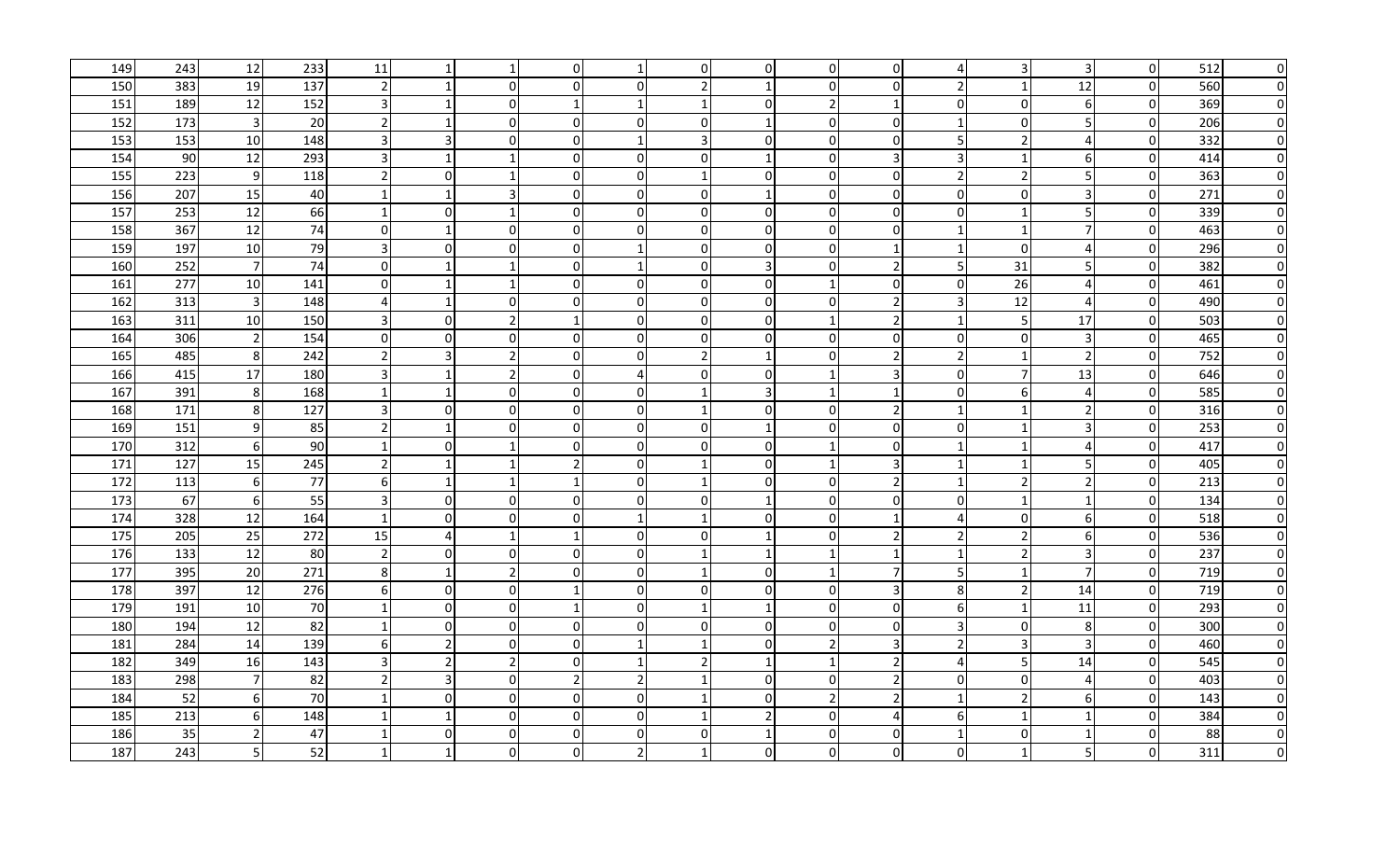| 149 | 243 | 12               | 233 | 11                      |                | $\mathbf 1$    | $\overline{0}$ | $\mathbf 1$              | $\overline{0}$ | $\overline{0}$ | $\overline{0}$ | $\Omega$       | $\overline{A}$           | 3                        | $\overline{3}$ | $\overline{0}$ | 512 | $\overline{0}$ |
|-----|-----|------------------|-----|-------------------------|----------------|----------------|----------------|--------------------------|----------------|----------------|----------------|----------------|--------------------------|--------------------------|----------------|----------------|-----|----------------|
| 150 | 383 | 19               | 137 | $\overline{2}$          |                | $\overline{0}$ | $\Omega$       | $\Omega$                 | $\overline{2}$ |                | $\Omega$       | $\Omega$       | $\overline{\phantom{a}}$ | $\mathbf{1}$             | 12             | $\overline{0}$ | 560 | $\overline{0}$ |
| 151 | 189 | 12               | 152 | $\overline{3}$          |                | $\overline{0}$ | $\mathbf{1}$   | $\mathbf{1}$             | 1              | $\Omega$       |                |                | $\Omega$                 | $\mathbf 0$              | $6 \mid$       | $\overline{0}$ | 369 | $\overline{0}$ |
| 152 | 173 | $\overline{3}$   | 20  | $\overline{2}$          |                | $\Omega$       | $\Omega$       | $\Omega$                 | $\mathbf{0}$   |                | $\Omega$       | $\Omega$       |                          | $\Omega$                 | 5              | $\overline{0}$ | 206 | $\overline{0}$ |
| 153 | 153 | 10               | 148 | $\overline{3}$          |                | $\Omega$       | $\mathbf{0}$   | $\mathbf{1}$             | $\overline{3}$ | $\Omega$       | $\Omega$       | $\Omega$       | 5                        | 2                        | 4              | $\overline{0}$ | 332 | 0I             |
| 154 | 90  | 12               | 293 | $\overline{3}$          |                | $\mathbf{1}$   | $\mathbf{0}$   | $\overline{0}$           | $\overline{0}$ |                | $\Omega$       |                | $\overline{3}$           | 1                        | 6              | $\overline{0}$ | 414 | $\overline{0}$ |
| 155 | 223 | 9                | 118 | $\overline{2}$          | $\Omega$       | -1             | $\mathbf{0}$   | $\Omega$                 | 1              | O              | $\Omega$       | $\Omega$       | $\overline{2}$           | $\overline{2}$           | 5              | $\overline{0}$ | 363 | $\overline{0}$ |
| 156 | 207 | 15               | 40  | $\vert$ 1               |                | $\overline{3}$ | $\overline{0}$ | $\Omega$                 | 0              |                | $\Omega$       | $\Omega$       | $\Omega$                 | $\Omega$                 | $\overline{3}$ | $\overline{0}$ | 271 | $\overline{0}$ |
| 157 | 253 | 12               | 66  | $1\overline{ }$         | $\Omega$       | 1              | 0              | $\overline{0}$           | 0I             | 0              | $\Omega$       | <sup>0</sup>   | $\Omega$                 | $\mathbf{1}$             | 5              | $\overline{0}$ | 339 | $\overline{0}$ |
| 158 | 367 | 12               | 74  | $\overline{0}$          |                | $\overline{0}$ | $\mathbf 0$    | $\Omega$                 | $\overline{0}$ | 0              | 0              | $\Omega$       |                          | $\mathbf{1}$             | $\overline{7}$ | $\overline{0}$ | 463 | $\overline{0}$ |
| 159 | 197 | 10               | 79  | $\overline{3}$          | $\Omega$       | $\overline{0}$ | $\mathbf{0}$   |                          | 0              | ΩI             | <sup>0</sup>   |                |                          | $\Omega$                 | 4              | $\overline{0}$ | 296 | $\overline{0}$ |
| 160 | 252 | $\overline{7}$   | 74  | $\overline{0}$          |                | 1              | $\overline{0}$ | $\mathbf 1$              | $\overline{0}$ | $\overline{3}$ | $\Omega$       | 2              | 5                        | 31                       | 5 <sub>l</sub> | $\overline{0}$ | 382 | $\overline{0}$ |
| 161 | 277 | 10               | 141 | $\overline{0}$          |                | $\mathbf{1}$   | $\Omega$       | $\Omega$                 | $\overline{0}$ | 0              |                | $\Omega$       | $\Omega$                 | 26                       | 4              | $\overline{0}$ | 461 | $\overline{0}$ |
| 162 | 313 | $\overline{3}$   | 148 | $\overline{4}$          |                | $\overline{0}$ | $\overline{0}$ | $\overline{0}$           | $\overline{0}$ | $\Omega$       | $\Omega$       |                | 3                        | 12                       | 4              | $\overline{0}$ | 490 | $\overline{0}$ |
| 163 | 311 | 10               | 150 | $\overline{3}$          | $\Omega$       | $\overline{2}$ | $\mathbf{1}$   | $\Omega$                 | $\overline{0}$ | $\Omega$       |                |                | $\overline{1}$           | 5                        | 17             | $\overline{0}$ | 503 | $\overline{0}$ |
| 164 | 306 | $\overline{2}$   | 154 | $\overline{0}$          | $\Omega$       | $\overline{0}$ | $\overline{0}$ | $\Omega$                 | $\overline{0}$ | $\Omega$       | $\Omega$       | $\Omega$       | $\Omega$                 | $\boldsymbol{0}$         | 3              | $\overline{0}$ | 465 | $\overline{0}$ |
| 165 | 485 | 8                | 242 | $\overline{2}$          | 3              | $\overline{2}$ | $\Omega$       | $\Omega$                 | $\overline{2}$ |                | $\Omega$       | $\mathcal{P}$  | $\overline{2}$           | $\mathbf{1}$             | $\overline{2}$ | $\overline{0}$ | 752 | $\overline{0}$ |
| 166 | 415 | 17               | 180 | $\overline{3}$          |                | $\overline{2}$ | $\overline{0}$ | 4                        | $\overline{0}$ | ΩI             |                |                | $\mathbf 0$              | $\overline{7}$           | 13             | $\overline{0}$ | 646 | $\overline{0}$ |
| 167 | 391 | 8                | 168 | $\vert$ 1               |                | $\overline{0}$ | $\overline{0}$ | $\Omega$                 | 1              | $\overline{3}$ |                |                | $\Omega$                 | 6                        | 4              | $\overline{0}$ | 585 | $\overline{0}$ |
| 168 | 171 | 8                | 127 | $\overline{3}$          | $\overline{0}$ | $\overline{0}$ | $\overline{0}$ | $\overline{0}$           | 1              | 01             | $\Omega$       |                |                          | $\mathbf 1$              | $\overline{2}$ | $\overline{0}$ | 316 | $\overline{0}$ |
| 169 | 151 | 9                | 85  | $\overline{2}$          |                | $\overline{0}$ | $\mathbf 0$    | $\overline{0}$           | $\overline{0}$ |                | $\Omega$       | $\Omega$       | 0                        | $1\,$                    | $\overline{3}$ | $\overline{0}$ | 253 | $\overline{0}$ |
| 170 | 312 | $6\phantom{1}6$  | 90  | $1\vert$                | $\overline{0}$ | -1             | 0              | $\overline{0}$           | $\overline{0}$ | 0              |                | 0              | -1                       | 1                        | 4              | $\overline{0}$ | 417 | $\overline{0}$ |
| 171 | 127 | 15               | 245 | $\overline{2}$          |                | 1              | 2              | $\overline{0}$           | 1              | $\Omega$       | $\mathbf{1}$   | 3              | -1                       | $\mathbf{1}$             | 5              | $\overline{0}$ | 405 | $\overline{0}$ |
| 172 | 113 | $\boldsymbol{6}$ | 77  | 6                       |                | 1              |                | $\overline{0}$           | 1              | $\Omega$       | $\Omega$       |                |                          | $\overline{\phantom{a}}$ | $\overline{2}$ | $\overline{0}$ | 213 | $\overline{0}$ |
| 173 | 67  | $\boldsymbol{6}$ | 55  | $\overline{3}$          | $\overline{0}$ | $\overline{0}$ | $\overline{0}$ | $\mathbf 0$              | $\overline{0}$ |                | $\Omega$       | $\overline{0}$ | $\mathbf 0$              | $1\,$                    | $\mathbf{1}$   | $\overline{0}$ | 134 | $\overline{0}$ |
| 174 | 328 | 12               | 164 | $\vert$ 1               | $\Omega$       | $\overline{0}$ | $\mathbf{0}$   | $\mathbf{1}$             | 1              | $\Omega$       | $\Omega$       |                | Δ                        | 0                        | 6              | $\overline{0}$ | 518 | $\overline{0}$ |
| 175 | 205 | 25               | 272 | 15                      |                | 1              | $\mathbf{1}$   | $\mathbf 0$              | $\overline{0}$ |                | $\Omega$       |                | $\overline{\phantom{a}}$ | 2                        | 6              | $\overline{0}$ | 536 | $\overline{0}$ |
| 176 | 133 | 12               | 80  | $\overline{2}$          | $\Omega$       | 0              | $\mathbf 0$    | $\overline{0}$           | 1              |                |                |                | $\mathbf{1}$             | 2                        | $\overline{3}$ | $\overline{0}$ | 237 | $\overline{0}$ |
| 177 | 395 | 20               | 271 | 8                       |                | $\overline{2}$ | $\Omega$       | $\overline{0}$           | 1              | 0              | $\mathbf{1}$   |                | 5                        | 1                        | $\overline{7}$ | $\overline{0}$ | 719 | $\overline{0}$ |
| 178 | 397 | 12               | 276 | 6                       | $\overline{0}$ | $\overline{0}$ |                | $\overline{0}$           | 0              | 01             | $\Omega$       |                | 8                        | 2                        | 14             | $\overline{0}$ | 719 | $\overline{0}$ |
| 179 | 191 | 10               | 70  | $\vert$ 1               | $\overline{0}$ | $\overline{0}$ |                | $\overline{0}$           | 1              |                | 0              | n              | 6                        | 1                        | 11             | $\overline{0}$ | 293 | $\overline{0}$ |
| 180 | 194 | 12               | 82  | $\vert$ 1               | $\Omega$       | $\overline{0}$ | 0              | $\overline{0}$           | $\overline{0}$ | 01             | 0              | $\Omega$       | 3                        | 0                        | 8 <sup>°</sup> | $\overline{0}$ | 300 | $\overline{0}$ |
| 181 | 284 | 14               | 139 | $6 \mid$                |                | $\overline{0}$ | $\overline{0}$ | -1                       | 1              | $\Omega$       |                |                | $\overline{z}$           | 3                        | 3              | $\overline{0}$ | 460 | 0I             |
| 182 | 349 | 16               | 143 | $\overline{\mathbf{3}}$ |                | $\overline{2}$ | 0              |                          | $\overline{2}$ |                |                |                | 4                        | 5                        | 14             | $\overline{0}$ | 545 | 0I             |
| 183 | 298 | $\overline{7}$   | 82  | $\overline{2}$          |                | $\overline{0}$ | $\overline{2}$ | $\overline{\phantom{a}}$ |                | 01             | $\Omega$       |                | $\Omega$                 | $\Omega$                 | Δ              | $\overline{0}$ | 403 | 0I             |
| 184 | 52  | 6                | 70  | $\mathbf{1}$            | $\Omega$       | $\overline{0}$ | $\overline{0}$ | $\overline{0}$           |                | 0              |                |                |                          |                          | 6              | $\overline{0}$ | 143 | $\overline{0}$ |
| 185 | 213 | 6                | 148 | $1\vert$                |                | 01             | $\mathbf{0}$   | $\mathbf{0}$             | $\mathbf 1$    | $\mathcal{P}$  | 0              |                | 6                        | $\mathbf{1}$             | $\mathbf{1}$   | $\overline{0}$ | 384 | $\overline{0}$ |
| 186 | 35  | $\mathcal{D}$    | 47  | $\mathbf{1}$            | $\Omega$       | 01             | $\mathbf{0}$   | $\Omega$                 | $\overline{0}$ |                | $\Omega$       | $\Omega$       |                          | 0                        | $\mathbf{1}$   | $\overline{0}$ | 88  | 0I             |
| 187 | 243 | 5                | 52  | 1                       |                | $\overline{0}$ | $\mathbf{0}$   | $\overline{2}$           |                | U              |                |                | $\Omega$                 | $\mathbf{1}$             | 5              | $\overline{0}$ | 311 | $\overline{0}$ |